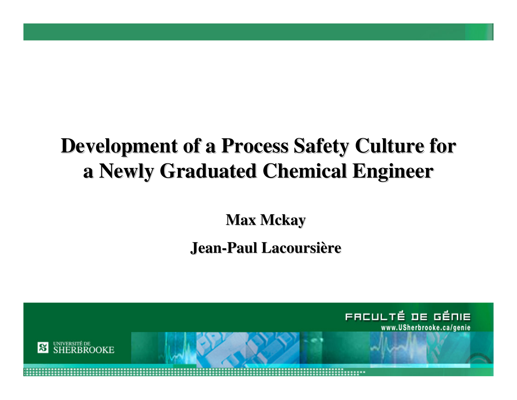#### **Development of a Process Safety Culture for a Newly Graduated Chemical Engineer**

**Max Mckay**

#### **Jean-Paul Lacoursière**

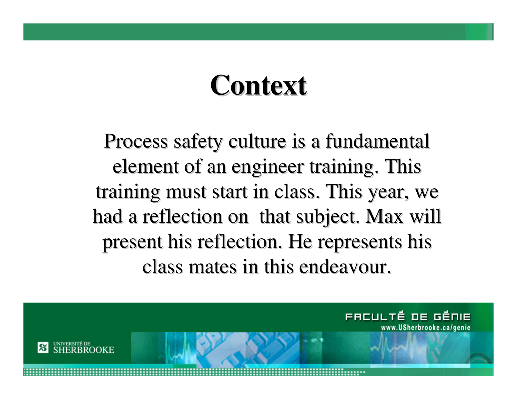#### **Context**

Process safety culture is a fundamental element of an engineer training. This training must start in class. This year, we had a reflection on that subject. Max will present his reflection. He represents his class mates in this endeavour.

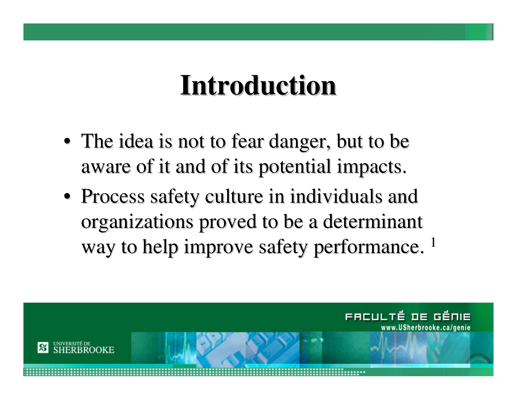### **Introduction**

- The idea is not to fear danger, but to be aware of it and of its potential impacts.
- Process safety culture in individuals and organizations proved to be a determinant way to help improve safety performance. <sup>1</sup>

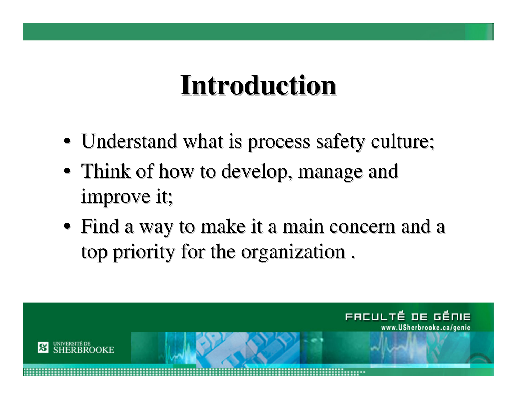### **Introduction**

- Understand what is process safety culture;
- Think of how to develop, manage and improve it;
- Find a way to make it a main concern and a top priority for the organization $\overline{\phantom{a}}$

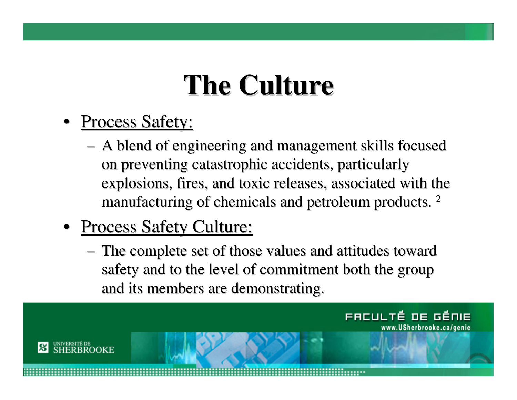# **The Culture**

- <u>Process Safety:</u>
	- – A blend of engineering and management skills focused on preventing catastrophic accidents, particularly explosions, fires, and toxic releases, associated with the manufacturing of chemicals and petroleum products.  $^2$
- <u>Process Safety Culture:</u>
	- – The complete set of those values and attitudes toward safety and to the level of commitment both the group and its members are demonstrating.

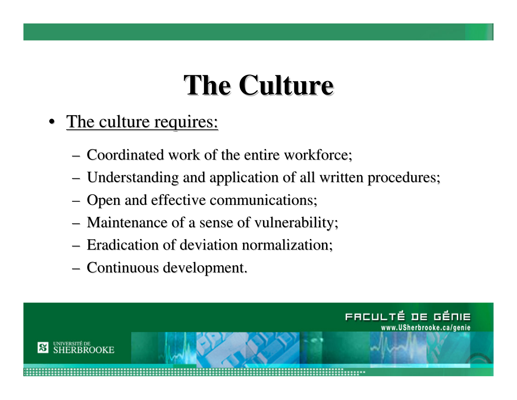# **The Culture**

- The culture requires:
	- Coordinated work of the entire workforce;
	- Understanding and application of all written procedures;
	- Open and effective communications;
	- Maintenance of a sense of vulnerability;
	- Eradication of deviation normalization;
	- Continuous development.

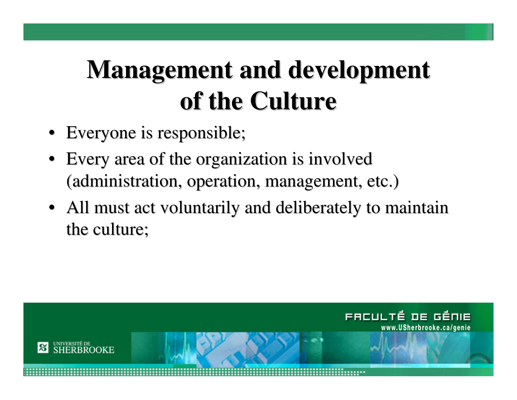# **Management and development of the Culture**

- Everyone is responsible;
- Every area of the organization is involved (administration, operation, management, etc.)
- All must act voluntarily and deliberately to maintain the culture;

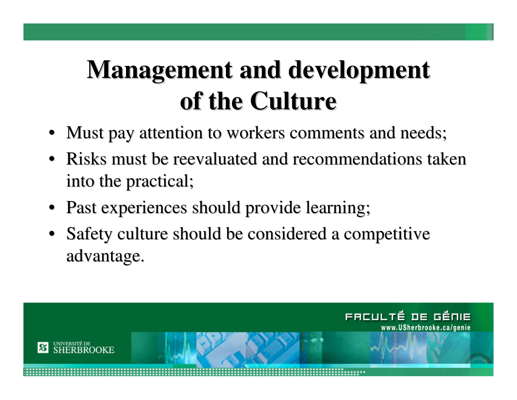# **Management and development of the Culture**

- Must pay attention to workers comments and needs;
- Risks must be reevaluated and recommendations takeninto the practical;
- Past experiences should provide learning;
- Safety culture should be considered a competitive advantage.

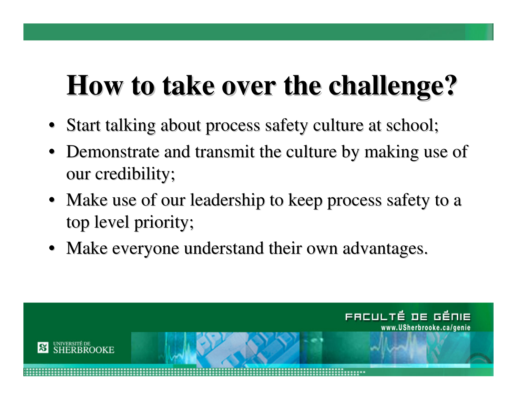## **How to take over the challenge?**

- Start talking about process safety culture at school;
- Demonstrate and transmit the culture by making use of our credibility;
- Make use of our leadership to keep process safety to a top level priority;
- Make everyone understand their own advantages.

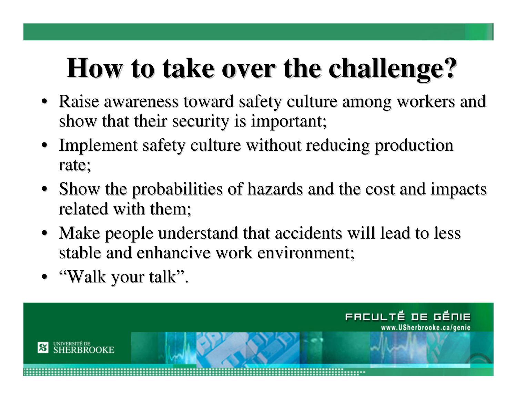## **How to take over the challenge?**

- Raise awareness toward safety culture among workers and show that their security is important;
- Implement safety culture without reducing production rate;
- Show the probabilities of hazards and the cost and impacts related with them;
- Make people understand that accidents will lead to less stable and enhancive work environment;
- "Walk your talk".

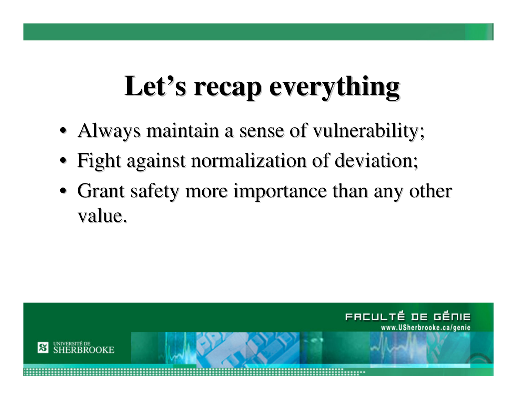# **Let's recap everything**

- Always maintain a sense of vulnerability;
- Fight against normalization of deviation;
- Grant safety more importance than any other value.